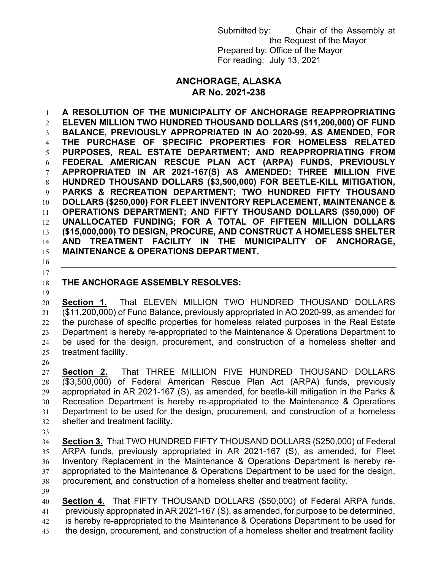Submitted by: Chair of the Assembly at the Request of the Mayor Prepared by: Office of the Mayor For reading: July 13, 2021

## **ANCHORAGE, ALASKA AR No. 2021-238**

 **A RESOLUTION OF THE MUNICIPALITY OF ANCHORAGE REAPPROPRIATING ELEVEN MILLION TWO HUNDRED THOUSAND DOLLARS (\$11,200,000) OF FUND BALANCE, PREVIOUSLY APPROPRIATED IN AO 2020-99, AS AMENDED, FOR THE PURCHASE OF SPECIFIC PROPERTIES FOR HOMELESS RELATED PURPOSES, REAL ESTATE DEPARTMENT; AND REAPPROPRIATING FROM FEDERAL AMERICAN RESCUE PLAN ACT (ARPA) FUNDS, PREVIOUSLY APPROPRIATED IN AR 2021-167(S) AS AMENDED: THREE MILLION FIVE HUNDRED THOUSAND DOLLARS (\$3,500,000) FOR BEETLE-KILL MITIGATION, PARKS & RECREATION DEPARTMENT; TWO HUNDRED FIFTY THOUSAND DOLLARS (\$250,000) FOR FLEET INVENTORY REPLACEMENT, MAINTENANCE & OPERATIONS DEPARTMENT; AND FIFTY THOUSAND DOLLARS (\$50,000) OF UNALLOCATED FUNDING; FOR A TOTAL OF FIFTEEN MILLION DOLLARS (\$15,000,000) TO DESIGN, PROCURE, AND CONSTRUCT A HOMELESS SHELTER AND TREATMENT FACILITY IN THE MUNICIPALITY OF ANCHORAGE, MAINTENANCE & OPERATIONS DEPARTMENT.**

## **THE ANCHORAGE ASSEMBLY RESOLVES:**

 **Section 1.** That ELEVEN MILLION TWO HUNDRED THOUSAND DOLLARS (\$11,200,000) of Fund Balance, previously appropriated in AO 2020-99, as amended for the purchase of specific properties for homeless related purposes in the Real Estate Department is hereby re-appropriated to the Maintenance & Operations Department to be used for the design, procurement, and construction of a homeless shelter and | treatment facility.

 **Section 2.** That THREE MILLION FIVE HUNDRED THOUSAND DOLLARS (\$3,500,000) of Federal American Rescue Plan Act (ARPA) funds, previously 29 appropriated in AR 2021-167 (S), as amended, for beetle-kill mitigation in the Parks & Recreation Department is hereby re-appropriated to the Maintenance & Operations Department to be used for the design, procurement, and construction of a homeless shelter and treatment facility.

 

 **Section 3.** That TWO HUNDRED FIFTY THOUSAND DOLLARS (\$250,000) of Federal ARPA funds, previously appropriated in AR 2021-167 (S), as amended, for Fleet Inventory Replacement in the Maintenance & Operations Department is hereby re- appropriated to the Maintenance & Operations Department to be used for the design, procurement, and construction of a homeless shelter and treatment facility.

 **Section 4.** That FIFTY THOUSAND DOLLARS (\$50,000) of Federal ARPA funds, previously appropriated in AR 2021-167 (S), as amended, for purpose to be determined, 42 is hereby re-appropriated to the Maintenance & Operations Department to be used for the design, procurement, and construction of a homeless shelter and treatment facility